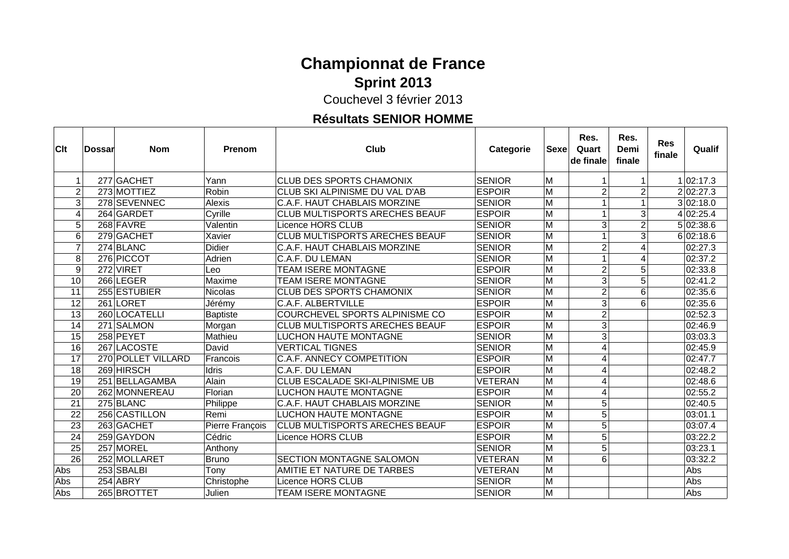### **Championnat de France Sprint 2013**

Couchevel 3 février 2013

### **Résultats SENIOR HOMME**

 $\top$ 

 $\Gamma$ 

| Clt             | <b>Dossar</b> | <b>Nom</b>         | Prenom          | Club                                  | Categorie      | Sexe                    | Res.<br>Quart<br>de finale | Res.<br>Demi<br>finale | <b>Res</b><br>finale | Qualif    |
|-----------------|---------------|--------------------|-----------------|---------------------------------------|----------------|-------------------------|----------------------------|------------------------|----------------------|-----------|
|                 |               | 277 GACHET         | Yann            | <b>CLUB DES SPORTS CHAMONIX</b>       | <b>SENIOR</b>  | M                       |                            |                        |                      | 1 02:17.3 |
| $\overline{2}$  |               | 273 MOTTIEZ        | Robin           | CLUB SKI ALPINISME DU VAL D'AB        | <b>ESPOIR</b>  | M                       | 2 <sub>1</sub>             | 2                      |                      | 2 02:27.3 |
| 3               |               | 278 SEVENNEC       | Alexis          | C.A.F. HAUT CHABLAIS MORZINE          | <b>SENIOR</b>  | M                       | 1                          |                        |                      | 3 02:18.0 |
|                 |               | 264 GARDET         | Cyrille         | <b>CLUB MULTISPORTS ARECHES BEAUF</b> | <b>ESPOIR</b>  | M                       |                            | 3                      |                      | 4 02:25.4 |
| 5               |               | 268 FAVRE          | Valentin        | Licence HORS CLUB                     | <b>SENIOR</b>  | M                       | 3                          |                        |                      | 5 02:38.6 |
| 6               |               | 279 GACHET         | Xavier          | <b>CLUB MULTISPORTS ARECHES BEAUF</b> | <b>SENIOR</b>  | M                       |                            | 3                      |                      | 6 02:18.6 |
| 7               |               | 274 BLANC          | <b>Didier</b>   | <b>C.A.F. HAUT CHABLAIS MORZINE</b>   | <b>SENIOR</b>  | lм                      | $\overline{2}$             |                        |                      | 02:27.3   |
| 8               |               | 276 PICCOT         | Adrien          | C.A.F. DU LEMAN                       | <b>SENIOR</b>  | M                       |                            |                        |                      | 02:37.2   |
| 9               |               | 272 VIRET          | Leo             | <b>TEAM ISERE MONTAGNE</b>            | <b>ESPOIR</b>  | M                       | 2                          | 5                      |                      | 02:33.8   |
| 10              |               | 266 LEGER          | Maxime          | <b>TEAM ISERE MONTAGNE</b>            | <b>SENIOR</b>  | M                       | 3                          | 5                      |                      | 02:41.2   |
| 11              |               | 255 ESTUBIER       | <b>Nicolas</b>  | <b>CLUB DES SPORTS CHAMONIX</b>       | <b>SENIOR</b>  | M                       | $\overline{2}$             | 6                      |                      | 02:35.6   |
| 12              |               | 261 LORET          | Jérémy          | <b>C.A.F. ALBERTVILLE</b>             | <b>ESPOIR</b>  | M                       | 3                          | 6                      |                      | 02:35.6   |
| 13              |               | 260 LOCATELLI      | <b>Baptiste</b> | COURCHEVEL SPORTS ALPINISME CO        | <b>ESPOIR</b>  | M                       | 2                          |                        |                      | 02:52.3   |
| $\overline{14}$ |               | 271 SALMON         | Morgan          | <b>CLUB MULTISPORTS ARECHES BEAUF</b> | <b>ESPOIR</b>  | M                       | 3                          |                        |                      | 02:46.9   |
| 15              |               | 258 PEYET          | Mathieu         | LUCHON HAUTE MONTAGNE                 | <b>SENIOR</b>  | M                       | 3                          |                        |                      | 03:03.3   |
| 16              |               | 267 LACOSTE        | David           | <b>VERTICAL TIGNES</b>                | <b>SENIOR</b>  | M                       | 4                          |                        |                      | 02:45.9   |
| $\overline{17}$ |               | 270 POLLET VILLARD | Francois        | <b>C.A.F. ANNECY COMPETITION</b>      | <b>ESPOIR</b>  | $\overline{\mathsf{M}}$ | 4                          |                        |                      | 02:47.7   |
| 18              |               | 269 HIRSCH         | <b>Idris</b>    | C.A.F. DU LEMAN                       | <b>ESPOIR</b>  | M                       | 4                          |                        |                      | 02:48.2   |
| 19              |               | 251 BELLAGAMBA     | Alain           | CLUB ESCALADE SKI-ALPINISME UB        | <b>VETERAN</b> | M                       | 4                          |                        |                      | 02:48.6   |
| $\overline{20}$ |               | 262 MONNEREAU      | Florian         | <b>LUCHON HAUTE MONTAGNE</b>          | <b>ESPOIR</b>  | $\overline{\mathsf{M}}$ | 4                          |                        |                      | 02:55.2   |
| $\overline{21}$ |               | 275 BLANC          | Philippe        | C.A.F. HAUT CHABLAIS MORZINE          | <b>SENIOR</b>  | M                       | $\overline{5}$             |                        |                      | 02:40.5   |
| 22              |               | 256 CASTILLON      | Remi            | LUCHON HAUTE MONTAGNE                 | <b>ESPOIR</b>  | M                       | 5                          |                        |                      | 03:01.1   |
| 23              |               | 263 GACHET         | Pierre François | <b>CLUB MULTISPORTS ARECHES BEAUF</b> | <b>ESPOIR</b>  | M                       | 5                          |                        |                      | 03:07.4   |
| $\overline{24}$ |               | 259 GAYDON         | Cédric          | Licence HORS CLUB                     | <b>ESPOIR</b>  | M                       | 5                          |                        |                      | 03:22.2   |
| 25              |               | 257 MOREL          | Anthony         |                                       | <b>SENIOR</b>  | M                       | 5                          |                        |                      | 03:23.1   |
| 26              |               | 252 MOLLARET       | <b>Bruno</b>    | SECTION MONTAGNE SALOMON              | <b>VETERAN</b> | M                       | 6                          |                        |                      | 03:32.2   |
| Abs             |               | 253 SBALBI         | Tony            | AMITIE ET NATURE DE TARBES            | <b>VETERAN</b> | $\overline{\mathsf{M}}$ |                            |                        |                      | Abs       |
| Abs             |               | 254 ABRY           | Christophe      | Licence HORS CLUB                     | <b>SENIOR</b>  | M                       |                            |                        |                      | Abs       |
| Abs             |               | 265 BROTTET        | Julien          | <b>TEAM ISERE MONTAGNE</b>            | <b>SENIOR</b>  | M                       |                            |                        |                      | Abs       |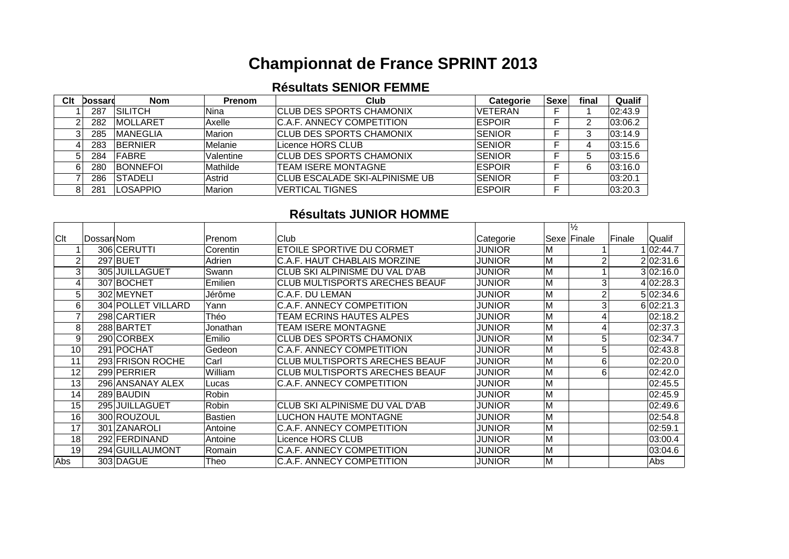# **Championnat de France SPRINT 2013**

#### **Résultats SENIOR FEMME**

| Clt | Dossard | <b>Nom</b>       | <b>Prenom</b>  | Club                             | <b>Categorie</b> | <b>Sexe</b> | final | Qualif  |
|-----|---------|------------------|----------------|----------------------------------|------------------|-------------|-------|---------|
|     | 287     | <b>SILITCH</b>   | Nina           | <b>ICLUB DES SPORTS CHAMONIX</b> | <b>IVETERAN</b>  |             |       | 02:43.9 |
|     | 282     | <b>IMOLLARET</b> | Axelle         | IC.A.F. ANNECY COMPETITION       | <b>IESPOIR</b>   |             |       | 03:06.2 |
| ົ   | 285     | <b>IMANEGLIA</b> | Marion         | <b>ICLUB DES SPORTS CHAMONIX</b> | <b>SENIOR</b>    |             |       | 03:14.9 |
|     | 283     | <b>BERNIER</b>   | <i>Melanie</i> | Licence HORS CLUB                | <b>SENIOR</b>    |             |       | 03:15.6 |
|     | 284     | <b>FABRE</b>     | Valentine      | <b>CLUB DES SPORTS CHAMONIX</b>  | <b>SENIOR</b>    |             |       | 03:15.6 |
|     | 280     | <b>BONNEFOL</b>  | Mathilde       | <b>ITEAM ISERE MONTAGNE</b>      | <b>ESPOIR</b>    |             |       | 03:16.0 |
|     | 286     | ISTADELI         | Astrid         | ICLUB ESCALADE SKI-ALPINISME UB  | <b>SENIOR</b>    |             |       | 03:20.1 |
|     | 281     | <b>ILOSAPPIO</b> | Marion         | <b>IVERTICAL TIGNES</b>          | <b>IESPOIR</b>   |             |       | 03:20.3 |

#### **Résultats JUNIOR HOMME**

|     |            |                    |                |                                       |               |                         | $\frac{1}{2}$ |        |           |
|-----|------------|--------------------|----------------|---------------------------------------|---------------|-------------------------|---------------|--------|-----------|
| Clt | Dossar Nom |                    | Prenom         | Club                                  | Categorie     |                         | Sexe Finale   | Finale | Qualif    |
|     |            | 306 CERUTTI        | Corentin       | ETOILE SPORTIVE DU CORMET             | <b>JUNIOR</b> | M                       |               |        | 1 02:44.7 |
|     |            | 297 BUET           | Adrien         | C.A.F. HAUT CHABLAIS MORZINE          | <b>JUNIOR</b> | M                       |               |        | 2 02:31.6 |
| 3   |            | 305 JUILLAGUET     | Swann          | CLUB SKI ALPINISME DU VAL D'AB        | JUNIOR        | M                       |               |        | 3 02:16.0 |
| 4   |            | 307 BOCHET         | Emilien        | <b>CLUB MULTISPORTS ARECHES BEAUF</b> | JUNIOR        | M                       | 3             |        | 4 02:28.3 |
| 5   |            | 302 MEYNET         | Jérôme         | C.A.F. DU LEMAN                       | <b>JUNIOR</b> | M                       | 2             |        | 5 02:34.6 |
| 6   |            | 304 POLLET VILLARD | Yann           | <b>C.A.F. ANNECY COMPETITION</b>      | <b>JUNIOR</b> | $\overline{M}$          |               |        | 6 02:21.3 |
|     |            | 298 CARTIER        | Théo           | TEAM ECRINS HAUTES ALPES              | JUNIOR        | M                       |               |        | 02:18.2   |
| 8   |            | 288 BARTET         | Jonathan       | TEAM ISERE MONTAGNE                   | JUNIOR        | M                       |               |        | 02:37.3   |
| 9   |            | 290 CORBEX         | Emilio         | CLUB DES SPORTS CHAMONIX              | JUNIOR        | $\overline{\mathsf{M}}$ | 5             |        | 02:34.7   |
| 10  |            | 291 POCHAT         | Gedeon         | <b>C.A.F. ANNECY COMPETITION</b>      | JUNIOR        | M                       | 5             |        | 02:43.8   |
| 11  |            | 293 FRISON ROCHE   | Carl           | <b>CLUB MULTISPORTS ARECHES BEAUF</b> | JUNIOR        | M                       | 6             |        | 02:20.0   |
| 12  |            | 299 PERRIER        | William        | ICLUB MULTISPORTS ARECHES BEAUF       | JUNIOR        | M                       | 6             |        | 02:42.0   |
| 13  |            | 296 ANSANAY ALEX   | Lucas          | <b>C.A.F. ANNECY COMPETITION</b>      | JUNIOR        | M                       |               |        | 02:45.5   |
| 14  |            | 289 BAUDIN         | Robin          |                                       | JUNIOR        | M                       |               |        | 02:45.9   |
| 15  |            | 295 JUILLAGUET     | Robin          | CLUB SKI ALPINISME DU VAL D'AB        | <b>JUNIOR</b> | M                       |               |        | 02:49.6   |
| 16  |            | 300 ROUZOUL        | <b>Bastien</b> | LUCHON HAUTE MONTAGNE                 | <b>JUNIOR</b> | $\overline{M}$          |               |        | 02:54.8   |
| 17  |            | 301 ZANAROLI       | Antoine        | <b>C.A.F. ANNECY COMPETITION</b>      | JUNIOR        | M                       |               |        | 02:59.1   |
| 18  |            | 292 FERDINAND      | Antoine        | Licence HORS CLUB                     | JUNIOR        | M                       |               |        | 03:00.4   |
| 19  |            | 294 GUILLAUMONT    | Romain         | <b>C.A.F. ANNECY COMPETITION</b>      | <b>JUNIOR</b> | M                       |               |        | 03:04.6   |
| Abs |            | 303 DAGUE          | Theo           | <b>C.A.F. ANNECY COMPETITION</b>      | <b>JUNIOR</b> | M                       |               |        | Abs       |